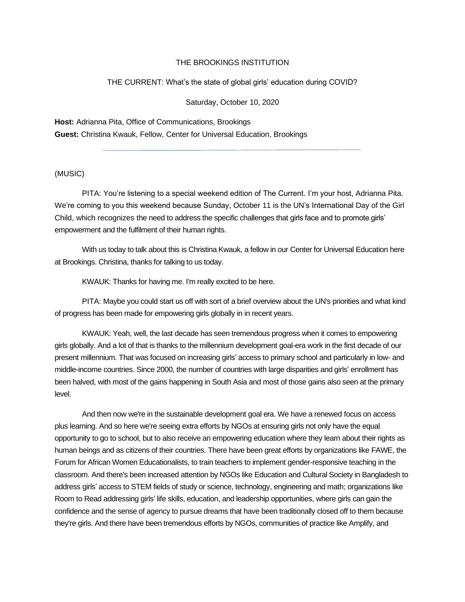## THE BROOKINGS INSTITUTION

## THE CURRENT: What's the state of global girls' education during COVID?

Saturday, October 10, 2020

**Host:** Adrianna Pita, Office of Communications, Brookings **Guest:** Christina Kwauk, Fellow, Center for Universal Education, Brookings

## (MUSIC)

PITA: You're listening to a special weekend edition of The Current. I'm your host, Adrianna Pita. We're coming to you this weekend because Sunday, October 11 is the UN's International Day of the Girl Child, which recognizes the need to address the specific challenges that girls face and to promote girls' empowerment and the fulfilment of their human rights.

With us today to talk about this is Christina Kwauk, a fellow in our Center for Universal Education here at Brookings. Christina, thanks for talking to us today.

KWAUK: Thanks for having me. I'm really excited to be here.

PITA: Maybe you could start us off with sort of a brief overview about the UN's priorities and what kind of progress has been made for empowering girls globally in in recent years.

KWAUK: Yeah, well, the last decade has seen tremendous progress when it comes to empowering girls globally. And a lot of that is thanks to the millennium development goal-era work in the first decade of our present millennium. That was focused on increasing girls' access to primary school and particularly in low- and middle-income countries. Since 2000, the number of countries with large disparities and girls' enrollment has been halved, with most of the gains happening in South Asia and most of those gains also seen at the primary level.

And then now we're in the sustainable development goal era. We have a renewed focus on access plus learning. And so here we're seeing extra efforts by NGOs at ensuring girls not only have the equal opportunity to go to school, but to also receive an empowering education where they learn about their rights as human beings and as citizens of their countries. There have been great efforts by organizations like FAWE, the Forum for African Women Educationalists, to train teachers to implement gender-responsive teaching in the classroom. And there's been increased attention by NGOs like Education and Cultural Society in Bangladesh to address girls' access to STEM fields of study or science, technology, engineering and math; organizations like Room to Read addressing girls' life skills, education, and leadership opportunities, where girls can gain the confidence and the sense of agency to pursue dreams that have been traditionally closed off to them because they're girls. And there have been tremendous efforts by NGOs, communities of practice like Amplify, and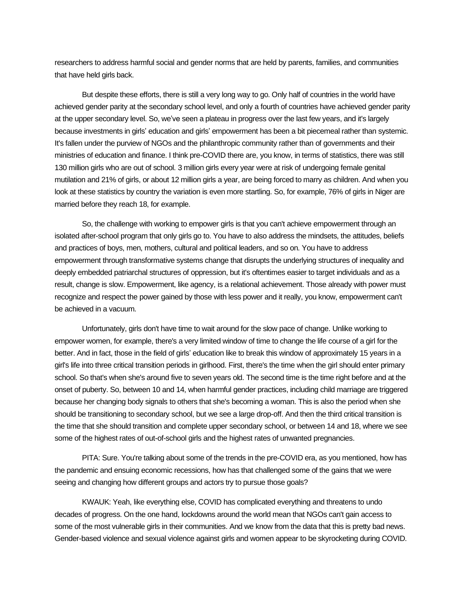researchers to address harmful social and gender norms that are held by parents, families, and communities that have held girls back.

But despite these efforts, there is still a very long way to go. Only half of countries in the world have achieved gender parity at the secondary school level, and only a fourth of countries have achieved gender parity at the upper secondary level. So, we've seen a plateau in progress over the last few years, and it's largely because investments in girls' education and girls' empowerment has been a bit piecemeal rather than systemic. It's fallen under the purview of NGOs and the philanthropic community rather than of governments and their ministries of education and finance. I think pre-COVID there are, you know, in terms of statistics, there was still 130 million girls who are out of school. 3 million girls every year were at risk of undergoing female genital mutilation and 21% of girls, or about 12 million girls a year, are being forced to marry as children. And when you look at these statistics by country the variation is even more startling. So, for example, 76% of girls in Niger are married before they reach 18, for example.

So, the challenge with working to empower girls is that you can't achieve empowerment through an isolated after-school program that only girls go to. You have to also address the mindsets, the attitudes, beliefs and practices of boys, men, mothers, cultural and political leaders, and so on. You have to address empowerment through transformative systems change that disrupts the underlying structures of inequality and deeply embedded patriarchal structures of oppression, but it's oftentimes easier to target individuals and as a result, change is slow. Empowerment, like agency, is a relational achievement. Those already with power must recognize and respect the power gained by those with less power and it really, you know, empowerment can't be achieved in a vacuum.

Unfortunately, girls don't have time to wait around for the slow pace of change. Unlike working to empower women, for example, there's a very limited window of time to change the life course of a girl for the better. And in fact, those in the field of girls' education like to break this window of approximately 15 years in a girl's life into three critical transition periods in girlhood. First, there's the time when the girl should enter primary school. So that's when she's around five to seven years old. The second time is the time right before and at the onset of puberty. So, between 10 and 14, when harmful gender practices, including child marriage are triggered because her changing body signals to others that she's becoming a woman. This is also the period when she should be transitioning to secondary school, but we see a large drop-off. And then the third critical transition is the time that she should transition and complete upper secondary school, or between 14 and 18, where we see some of the highest rates of out-of-school girls and the highest rates of unwanted pregnancies.

PITA: Sure. You're talking about some of the trends in the pre-COVID era, as you mentioned, how has the pandemic and ensuing economic recessions, how has that challenged some of the gains that we were seeing and changing how different groups and actors try to pursue those goals?

KWAUK: Yeah, like everything else, COVID has complicated everything and threatens to undo decades of progress. On the one hand, lockdowns around the world mean that NGOs can't gain access to some of the most vulnerable girls in their communities. And we know from the data that this is pretty bad news. Gender-based violence and sexual violence against girls and women appear to be skyrocketing during COVID.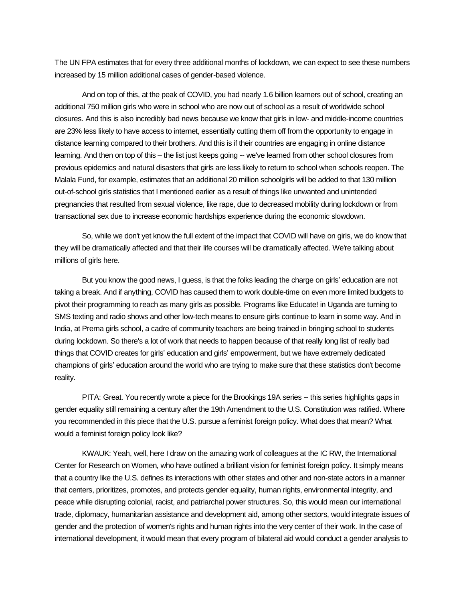The UN FPA estimates that for every three additional months of lockdown, we can expect to see these numbers increased by 15 million additional cases of gender-based violence.

And on top of this, at the peak of COVID, you had nearly 1.6 billion learners out of school, creating an additional 750 million girls who were in school who are now out of school as a result of worldwide school closures. And this is also incredibly bad news because we know that girls in low- and middle-income countries are 23% less likely to have access to internet, essentially cutting them off from the opportunity to engage in distance learning compared to their brothers. And this is if their countries are engaging in online distance learning. And then on top of this – the list just keeps going -- we've learned from other school closures from previous epidemics and natural disasters that girls are less likely to return to school when schools reopen. The Malala Fund, for example, estimates that an additional 20 million schoolgirls will be added to that 130 million out-of-school girls statistics that I mentioned earlier as a result of things like unwanted and unintended pregnancies that resulted from sexual violence, like rape, due to decreased mobility during lockdown or from transactional sex due to increase economic hardships experience during the economic slowdown.

So, while we don't yet know the full extent of the impact that COVID will have on girls, we do know that they will be dramatically affected and that their life courses will be dramatically affected. We're talking about millions of girls here.

But you know the good news, I guess, is that the folks leading the charge on girls' education are not taking a break. And if anything, COVID has caused them to work double-time on even more limited budgets to pivot their programming to reach as many girls as possible. Programs like Educate! in Uganda are turning to SMS texting and radio shows and other low-tech means to ensure girls continue to learn in some way. And in India, at Prerna girls school, a cadre of community teachers are being trained in bringing school to students during lockdown. So there's a lot of work that needs to happen because of that really long list of really bad things that COVID creates for girls' education and girls' empowerment, but we have extremely dedicated champions of girls' education around the world who are trying to make sure that these statistics don't become reality.

PITA: Great. You recently wrote a piece for the Brookings 19A series -- this series highlights gaps in gender equality still remaining a century after the 19th Amendment to the U.S. Constitution was ratified. Where you recommended in this piece that the U.S. pursue a feminist foreign policy. What does that mean? What would a feminist foreign policy look like?

KWAUK: Yeah, well, here I draw on the amazing work of colleagues at the IC RW, the International Center for Research on Women, who have outlined a brilliant vision for feminist foreign policy. It simply means that a country like the U.S. defines its interactions with other states and other and non-state actors in a manner that centers, prioritizes, promotes, and protects gender equality, human rights, environmental integrity, and peace while disrupting colonial, racist, and patriarchal power structures. So, this would mean our international trade, diplomacy, humanitarian assistance and development aid, among other sectors, would integrate issues of gender and the protection of women's rights and human rights into the very center of their work. In the case of international development, it would mean that every program of bilateral aid would conduct a gender analysis to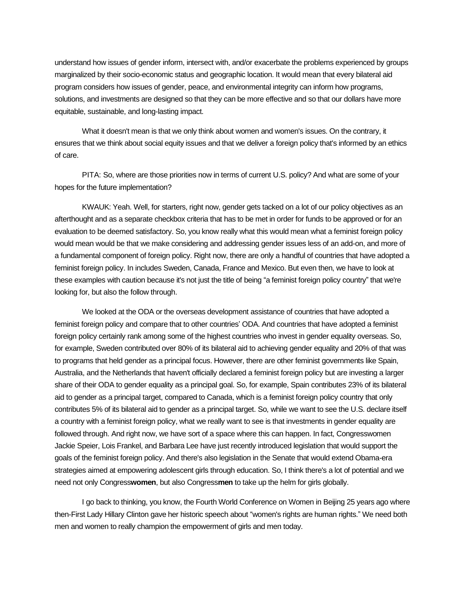understand how issues of gender inform, intersect with, and/or exacerbate the problems experienced by groups marginalized by their socio-economic status and geographic location. It would mean that every bilateral aid program considers how issues of gender, peace, and environmental integrity can inform how programs, solutions, and investments are designed so that they can be more effective and so that our dollars have more equitable, sustainable, and long-lasting impact.

What it doesn't mean is that we only think about women and women's issues. On the contrary, it ensures that we think about social equity issues and that we deliver a foreign policy that's informed by an ethics of care.

PITA: So, where are those priorities now in terms of current U.S. policy? And what are some of your hopes for the future implementation?

KWAUK: Yeah. Well, for starters, right now, gender gets tacked on a lot of our policy objectives as an afterthought and as a separate checkbox criteria that has to be met in order for funds to be approved or for an evaluation to be deemed satisfactory. So, you know really what this would mean what a feminist foreign policy would mean would be that we make considering and addressing gender issues less of an add-on, and more of a fundamental component of foreign policy. Right now, there are only a handful of countries that have adopted a feminist foreign policy. In includes Sweden, Canada, France and Mexico. But even then, we have to look at these examples with caution because it's not just the title of being "a feminist foreign policy country" that we're looking for, but also the follow through.

We looked at the ODA or the overseas development assistance of countries that have adopted a feminist foreign policy and compare that to other countries' ODA. And countries that have adopted a feminist foreign policy certainly rank among some of the highest countries who invest in gender equality overseas. So, for example, Sweden contributed over 80% of its bilateral aid to achieving gender equality and 20% of that was to programs that held gender as a principal focus. However, there are other feminist governments like Spain, Australia, and the Netherlands that haven't officially declared a feminist foreign policy but are investing a larger share of their ODA to gender equality as a principal goal. So, for example, Spain contributes 23% of its bilateral aid to gender as a principal target, compared to Canada, which is a feminist foreign policy country that only contributes 5% of its bilateral aid to gender as a principal target. So, while we want to see the U.S. declare itself a country with a feminist foreign policy, what we really want to see is that investments in gender equality are followed through. And right now, we have sort of a space where this can happen. In fact, Congresswomen Jackie Speier, Lois Frankel, and Barbara Lee have just recently introduced legislation that would support the goals of the feminist foreign policy. And there's also legislation in the Senate that would extend Obama-era strategies aimed at empowering adolescent girls through education. So, I think there's a lot of potential and we need not only Congress**women**, but also Congress**men** to take up the helm for girls globally.

I go back to thinking, you know, the Fourth World Conference on Women in Beijing 25 years ago where then-First Lady Hillary Clinton gave her historic speech about "women's rights are human rights." We need both men and women to really champion the empowerment of girls and men today.